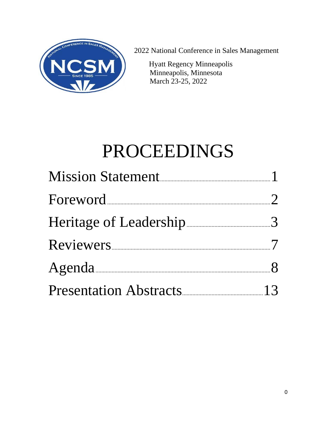

2022 National Conference in Sales Management

Hyatt Regency Minneapolis<br>Minneapolis, Minnesota March 23-25, 2022

# PROCEEDINGS

| Mission Statement      |                       |
|------------------------|-----------------------|
| Foreword               | $\mathcal{D}_{\cdot}$ |
| Heritage of Leadership |                       |
| Reviewers 7            |                       |
| Agenda                 | $\mathcal{R}$         |
| Presentation Abstracts |                       |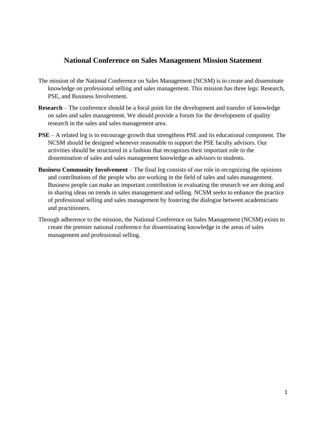# **National Conference on Sales Management Mission Statement**

- The mission of the National Conference on Sales Management (NCSM) is to create and disseminate knowledge on professional selling and sales management. This mission has three legs: Research, PSE, and Business Involvement.
- **Research**  The conference should be a focal point for the development and transfer of knowledge on sales and sales management. We should provide a forum for the development of quality research in the sales and sales management area.
- **PSE**  A related leg is to encourage growth that strengthens PSE and its educational component. The NCSM should be designed whenever reasonable to support the PSE faculty advisors. Our activities should be structured in a fashion that recognizes their important role in the dissemination of sales and sales management knowledge as advisors to students.
- **Business Community Involvement** The final leg consists of our role in recognizing the opinions and contributions of the people who are working in the field of sales and sales management. Business people can make an important contribution in evaluating the research we are doing and in sharing ideas on trends in sales management and selling. NCSM seeks to enhance the practice of professional selling and sales management by fostering the dialogue between academicians and practitioners.
- Through adherence to the mission, the National Conference on Sales Management (NCSM) exists to create the premier national conference for disseminating knowledge in the areas of sales management and professional selling.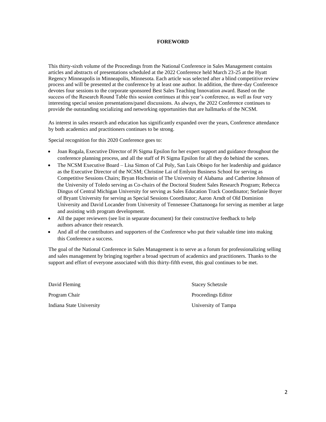#### **FOREWORD**

This thirty-sixth volume of the Proceedings from the National Conference in Sales Management contains articles and abstracts of presentations scheduled at the 2022 Conference held March 23-25 at the Hyatt Regency Minneapolis in Minneapolis, Minnesota. Each article was selected after a blind competitive review process and will be presented at the conference by at least one author. In addition, the three-day Conference devotes four sessions to the corporate sponsored Best Sales Teaching Innovation award. Based on the success of the Research Round Table this session continues at this year's conference, as well as four very interesting special session presentations/panel discussions. As always, the 2022 Conference continues to provide the outstanding socializing and networking opportunities that are hallmarks of the NCSM.

As interest in sales research and education has significantly expanded over the years, Conference attendance by both academics and practitioners continues to be strong.

Special recognition for this 2020 Conference goes to:

- Joan Rogala, Executive Director of Pi Sigma Epsilon for her expert support and guidance throughout the conference planning process, and all the staff of Pi Sigma Epsilon for all they do behind the scenes.
- The NCSM Executive Board Lisa Simon of Cal Poly, San Luis Obispo for her leadership and guidance as the Executive Director of the NCSM; Christine Lai of Emlyon Business School for serving as Competitive Sessions Chairs; Bryan Hochstein of The University of Alabama and Catherine Johnson of the University of Toledo serving as Co-chairs of the Doctoral Student Sales Research Program; Rebecca Dingus of Central Michigan University for serving as Sales Education Track Coordinator; Stefanie Boyer of Bryant University for serving as Special Sessions Coordinator; Aaron Arndt of Old Dominion University and David Locander from University of Tennessee Chattanooga for serving as member at large and assisting with program development.
- All the paper reviewers (see list in separate document) for their constructive feedback to help authors advance their research.
- And all of the contributors and supporters of the Conference who put their valuable time into making this Conference a success.

The goal of the National Conference in Sales Management is to serve as a forum for professionalizing selling and sales management by bringing together a broad spectrum of academics and practitioners. Thanks to the support and effort of everyone associated with this thirty-fifth event, this goal continues to be met.

David Fleming Stacey Schetzsle Program Chair Program Chair Program Chair Program Chair Program Chair Program Chair Program Chair Program Chair Program Chair Program Chair Program Chair Program Chair Program Chair Program Chair Program Chair Program Chai Indiana State University University of Tampa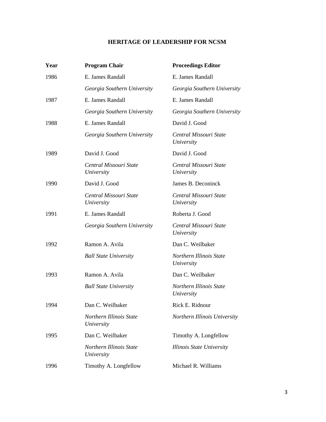## **HERITAGE OF LEADERSHIP FOR NCSM**

| Year | <b>Program Chair</b>                  | <b>Proceedings Editor</b>             |
|------|---------------------------------------|---------------------------------------|
| 1986 | E. James Randall                      | E. James Randall                      |
|      | Georgia Southern University           | Georgia Southern University           |
| 1987 | E. James Randall                      | E. James Randall                      |
|      | Georgia Southern University           | Georgia Southern University           |
| 1988 | E. James Randall                      | David J. Good                         |
|      | Georgia Southern University           | Central Missouri State<br>University  |
| 1989 | David J. Good                         | David J. Good                         |
|      | Central Missouri State<br>University  | Central Missouri State<br>University  |
| 1990 | David J. Good                         | James B. Deconinck                    |
|      | Central Missouri State<br>University  | Central Missouri State<br>University  |
| 1991 | E. James Randall                      | Roberta J. Good                       |
|      | Georgia Southern University           | Central Missouri State<br>University  |
| 1992 | Ramon A. Avila                        | Dan C. Weilbaker                      |
|      | <b>Ball State University</b>          | Northern Illinois State<br>University |
| 1993 | Ramon A. Avila                        | Dan C. Weilbaker                      |
|      | <b>Ball State University</b>          | Northern Illinois State<br>University |
| 1994 | Dan C. Weilbaker                      | Rick E. Ridnour                       |
|      | Northern Illinois State<br>University | Northern Illinois University          |
| 1995 | Dan C. Weilbaker                      | Timothy A. Longfellow                 |
|      | Northern Illinois State<br>University | <b>Illinois State University</b>      |
| 1996 | Timothy A. Longfellow                 | Michael R. Williams                   |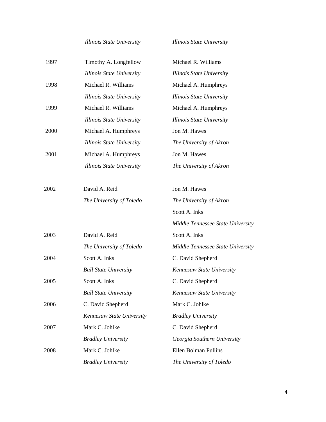*Illinois State University Illinois State University*

| 1997 | Timothy A. Longfellow            | Michael R. Williams               |
|------|----------------------------------|-----------------------------------|
|      | <b>Illinois State University</b> | <b>Illinois State University</b>  |
| 1998 | Michael R. Williams              | Michael A. Humphreys              |
|      | Illinois State University        | <b>Illinois State University</b>  |
| 1999 | Michael R. Williams              | Michael A. Humphreys              |
|      | Illinois State University        | <b>Illinois State University</b>  |
| 2000 | Michael A. Humphreys             | Jon M. Hawes                      |
|      | Illinois State University        | The University of Akron           |
| 2001 | Michael A. Humphreys             | Jon M. Hawes                      |
|      | <b>Illinois State University</b> | The University of Akron           |
|      |                                  |                                   |
| 2002 | David A. Reid                    | Jon M. Hawes                      |
|      | The University of Toledo         | The University of Akron           |
|      |                                  | Scott A. Inks                     |
|      |                                  | Middle Tennessee State University |
| 2003 | David A. Reid                    | Scott A. Inks                     |
|      | The University of Toledo         | Middle Tennessee State University |
| 2004 | Scott A. Inks                    | C. David Shepherd                 |
|      | <b>Ball State University</b>     | Kennesaw State University         |
| 2005 | Scott A. Inks                    | C. David Shepherd                 |
|      | <b>Ball State University</b>     | Kennesaw State University         |
| 2006 | C. David Shepherd                | Mark C. Johlke                    |
|      | Kennesaw State University        | <b>Bradley University</b>         |
| 2007 | Mark C. Johlke                   | C. David Shepherd                 |
|      | <b>Bradley University</b>        | Georgia Southern University       |
| 2008 | Mark C. Johlke                   | Ellen Bolman Pullins              |
|      | <b>Bradley University</b>        | The University of Toledo          |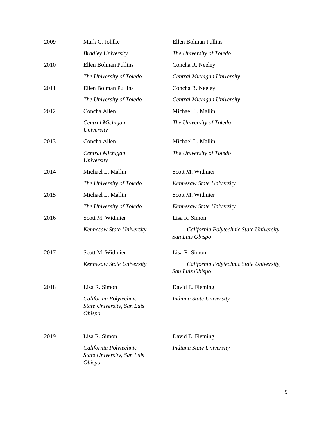| 2009 | Mark C. Johlke                                                        | Ellen Bolman Pullins                                        |
|------|-----------------------------------------------------------------------|-------------------------------------------------------------|
|      | <b>Bradley University</b>                                             | The University of Toledo                                    |
| 2010 | Ellen Bolman Pullins                                                  | Concha R. Neeley                                            |
|      | The University of Toledo                                              | Central Michigan University                                 |
| 2011 | Ellen Bolman Pullins                                                  | Concha R. Neeley                                            |
|      | The University of Toledo                                              | Central Michigan University                                 |
| 2012 | Concha Allen                                                          | Michael L. Mallin                                           |
|      | Central Michigan<br>University                                        | The University of Toledo                                    |
| 2013 | Concha Allen                                                          | Michael L. Mallin                                           |
|      | Central Michigan<br>University                                        | The University of Toledo                                    |
| 2014 | Michael L. Mallin                                                     | Scott M. Widmier                                            |
|      | The University of Toledo                                              | Kennesaw State University                                   |
| 2015 | Michael L. Mallin                                                     | Scott M. Widmier                                            |
|      | The University of Toledo                                              | Kennesaw State University                                   |
| 2016 | Scott M. Widmier                                                      | Lisa R. Simon                                               |
|      | Kennesaw State University                                             | California Polytechnic State University,<br>San Luis Obispo |
| 2017 | Scott M. Widmier                                                      | Lisa R. Simon                                               |
|      | Kennesaw State University                                             | California Polytechnic State University,<br>San Luis Obispo |
| 2018 | Lisa R. Simon                                                         | David E. Fleming                                            |
|      | California Polytechnic<br>State University, San Luis<br><i>Obispo</i> | <b>Indiana State University</b>                             |
| 2019 | Lisa R. Simon                                                         | David E. Fleming                                            |
|      | California Polytechnic<br>State University, San Luis<br><i>Obispo</i> | <b>Indiana State University</b>                             |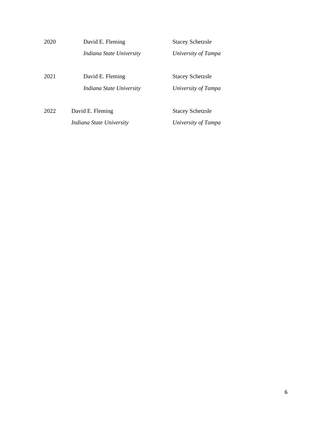| 2020 | David E. Fleming         | <b>Stacey Schetzsle</b> |
|------|--------------------------|-------------------------|
|      | Indiana State University | University of Tampa     |
| 2021 | David E. Fleming         | <b>Stacey Schetzsle</b> |
|      | Indiana State University | University of Tampa     |
| 2022 | David E. Fleming         | <b>Stacey Schetzsle</b> |
|      | Indiana State University | University of Tampa     |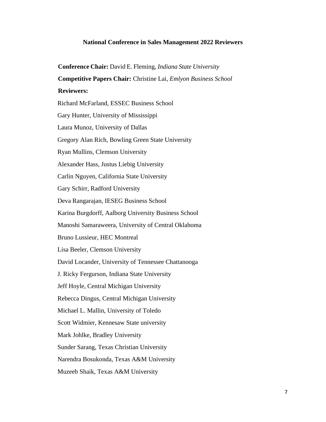#### **National Conference in Sales Management 2022 Reviewers**

**Conference Chair:** David E. Fleming, *Indiana State University*  **Competitive Papers Chair:** Christine Lai, *Emlyon Business School* **Reviewers:** Richard McFarland, ESSEC Business School Gary Hunter, University of Mississippi Laura Munoz, University of Dallas Gregory Alan Rich, Bowling Green State University Ryan Mullins, Clemson University Alexander Hass, Justus Liebig University Carlin Nguyen, California State University Gary Schirr, Radford University Deva Rangarajan, IESEG Business School Karina Burgdorff, Aalborg University Business School Manoshi Samaraweera, University of Central Oklahoma Bruno Lussieur, HEC Montreal Lisa Beeler, Clemson University David Locander, University of Tennessee Chattanooga J. Ricky Fergurson, Indiana State University Jeff Hoyle, Central Michigan University Rebecca Dingus, Central Michigan University Michael L. Mallin, University of Toledo Scott Widmier, Kennesaw State university Mark Johlke, Bradley University Sunder Sarang, Texas Christian University Narendra Bosukonda, Texas A&M University Muzeeb Shaik, Texas A&M University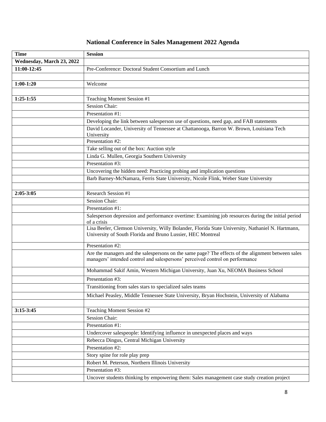# **National Conference in Sales Management 2022 Agenda**

| <b>Time</b>               | <b>Session</b>                                                                                                                                                                      |
|---------------------------|-------------------------------------------------------------------------------------------------------------------------------------------------------------------------------------|
| Wednesday, March 23, 2022 |                                                                                                                                                                                     |
| 11:00-12:45               | Pre-Conference: Doctoral Student Consortium and Lunch                                                                                                                               |
|                           |                                                                                                                                                                                     |
| $1:00-1:20$               | Welcome                                                                                                                                                                             |
|                           |                                                                                                                                                                                     |
| $1:25-1:55$               | Teaching Moment Session #1                                                                                                                                                          |
|                           | <b>Session Chair:</b>                                                                                                                                                               |
|                           | Presentation #1:                                                                                                                                                                    |
|                           | Developing the link between salesperson use of questions, need gap, and FAB statements                                                                                              |
|                           | David Locander, University of Tennessee at Chattanooga, Barron W. Brown, Louisiana Tech                                                                                             |
|                           | University                                                                                                                                                                          |
|                           | Presentation #2:                                                                                                                                                                    |
|                           | Take selling out of the box: Auction style                                                                                                                                          |
|                           | Linda G. Mullen, Georgia Southern University                                                                                                                                        |
|                           | Presentation #3:                                                                                                                                                                    |
|                           | Uncovering the hidden need: Practicing probing and implication questions                                                                                                            |
|                           | Barb Barney-McNamara, Ferris State University, Nicole Flink, Weber State University                                                                                                 |
|                           |                                                                                                                                                                                     |
| $2:05 - 3:05$             | Research Session #1                                                                                                                                                                 |
|                           | <b>Session Chair:</b>                                                                                                                                                               |
|                           | Presentation #1:                                                                                                                                                                    |
|                           | Salesperson depression and performance overtime: Examining job resources during the initial period<br>of a crisis                                                                   |
|                           | Lisa Beeler, Clemson University, Willy Bolander, Florida State University, Nathaniel N. Hartmann,<br>University of South Florida and Bruno Lussier, HEC Montreal                    |
|                           | Presentation #2:                                                                                                                                                                    |
|                           | Are the managers and the salespersons on the same page? The effects of the alignment between sales<br>managers' intended control and salespersons' perceived control on performance |
|                           | Mohammad Sakif Amin, Western Michigan University, Juan Xu, NEOMA Business School                                                                                                    |
|                           | Presentation #3:                                                                                                                                                                    |
|                           | Transitioning from sales stars to specialized sales teams                                                                                                                           |
|                           | Michael Peasley, Middle Tennessee State University, Bryan Hochstein, University of Alabama                                                                                          |
|                           |                                                                                                                                                                                     |
| $3:15-3:45$               | Teaching Moment Session #2                                                                                                                                                          |
|                           | <b>Session Chair:</b>                                                                                                                                                               |
|                           | Presentation #1:                                                                                                                                                                    |
|                           | Undercover salespeople: Identifying influence in unexpected places and ways                                                                                                         |
|                           | Rebecca Dingus, Central Michigan University                                                                                                                                         |
|                           | Presentation #2:                                                                                                                                                                    |
|                           | Story spine for role play prep                                                                                                                                                      |
|                           | Robert M. Peterson, Northern Illinois University                                                                                                                                    |
|                           | Presentation #3:                                                                                                                                                                    |
|                           | Uncover students thinking by empowering them: Sales management case study creation project                                                                                          |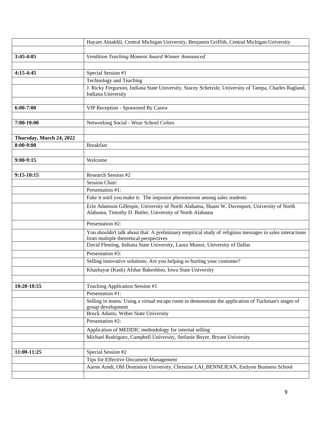|                          | Hayam Alnakhli, Central Michigan University, Benjamin Griffith, Central Michigan University                                                             |
|--------------------------|---------------------------------------------------------------------------------------------------------------------------------------------------------|
|                          |                                                                                                                                                         |
| $3:45-4:05$              | Vendition Teaching Moment Award Winner Announced                                                                                                        |
| $4:15-4:45$              | Special Session #1                                                                                                                                      |
|                          | Technology and Teaching                                                                                                                                 |
|                          | J. Ricky Fergurson, Indiana State University, Stacey Schetzsle, University of Tampa, Charles Ragland,                                                   |
|                          | Indiana University                                                                                                                                      |
| $6:00-7:00$              |                                                                                                                                                         |
|                          | VIP Reception - Sponsored By Carew                                                                                                                      |
| 7:00-10:00               | Networking Social - Wear School Colors                                                                                                                  |
|                          |                                                                                                                                                         |
| Thursday, March 24, 2022 |                                                                                                                                                         |
| $8:00-9:00$              | <b>Breakfast</b>                                                                                                                                        |
|                          |                                                                                                                                                         |
| $9:00-9:15$              | Welcome                                                                                                                                                 |
|                          |                                                                                                                                                         |
| $9:15-10:15$             | Research Session #2                                                                                                                                     |
|                          | <b>Session Chair:</b>                                                                                                                                   |
|                          | Presentation #1:                                                                                                                                        |
|                          | Fake it until you make it: The impostor phenomenon among sales students                                                                                 |
|                          | Erin Adamson Gillespie, University of North Alabama, Shaun W. Davenport, University of North<br>Alabama, Timothy D. Butler, University of North Alabama |
|                          | Presentation #2:                                                                                                                                        |
|                          | You shouldn't talk about that: A preliminary empirical study of religious messages in sales interactions<br>from multiple theoretical perspectives      |
|                          | David Fleming, Indiana State University, Laura Munoz, University of Dallas                                                                              |
|                          | Presentation #3:                                                                                                                                        |
|                          | Selling innovative solutions: Are you helping or hurting your customer?                                                                                 |
|                          | Khashayar (Kash) Afshar Bakeshloo, Iowa State University                                                                                                |
|                          |                                                                                                                                                         |
| 10:20-10:55              | Teaching Application Session #1                                                                                                                         |
|                          | Presentation #1:                                                                                                                                        |
|                          | Selling in teams: Using a virtual escape room to demonstrate the application of Tuckman's stages of                                                     |
|                          | group development<br>Brock Adams, Weber State University                                                                                                |
|                          | Presentation #2:                                                                                                                                        |
|                          | Application of MEDDIC methodology for internal selling                                                                                                  |
|                          | Michael Rodriguez, Campbell University, Stefanie Boyer, Bryant University                                                                               |
|                          |                                                                                                                                                         |
| 11:00-11:25              | Special Session #2                                                                                                                                      |
|                          | Tips for Effective Document Management                                                                                                                  |
|                          | Aaron Arndt, Old Dominion University, Christine LAI_BENNEJEAN, Emlyon Business School                                                                   |
|                          |                                                                                                                                                         |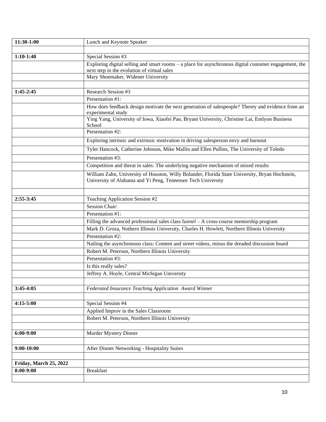| $1:10-1:40$<br>Special Session #3<br>Exploring digital selling and smart rooms $-$ a place for asynchronous digital customer engagement, the<br>next step in the evolution of virtual sales<br>Mary Shoemaker, Widener University<br>1:45-2:45<br>Research Session #3 |
|-----------------------------------------------------------------------------------------------------------------------------------------------------------------------------------------------------------------------------------------------------------------------|
|                                                                                                                                                                                                                                                                       |
|                                                                                                                                                                                                                                                                       |
|                                                                                                                                                                                                                                                                       |
|                                                                                                                                                                                                                                                                       |
|                                                                                                                                                                                                                                                                       |
|                                                                                                                                                                                                                                                                       |
| Presentation #1:                                                                                                                                                                                                                                                      |
| How does feedback design motivate the next generation of salespeople? Theory and evidence from an                                                                                                                                                                     |
| experimental study                                                                                                                                                                                                                                                    |
| Ying Yang, University of Iowa, Xiaofei Pan, Bryant University, Christine Lai, Emlyon Business<br>School                                                                                                                                                               |
| Presentation #2:                                                                                                                                                                                                                                                      |
| Exploring intrinsic and extrinsic motivation in driving salesperson envy and burnout                                                                                                                                                                                  |
|                                                                                                                                                                                                                                                                       |
| Tyler Hancock, Catherine Johnson, Mike Mallin and Ellen Pullins, The University of Toledo                                                                                                                                                                             |
| Presentation #3:                                                                                                                                                                                                                                                      |
| Competition and threat in sales: The underlying negative mechanism of mixed results                                                                                                                                                                                   |
| William Zahn, University of Houston, Willy Bolander, Florida State University, Bryan Hochstein,<br>University of Alabama and Yi Peng, Tennessee Tech University                                                                                                       |
| 2:55-3:45<br>Teaching Application Session #2                                                                                                                                                                                                                          |
| <b>Session Chair:</b>                                                                                                                                                                                                                                                 |
| Presentation #1:                                                                                                                                                                                                                                                      |
| Filling the advanced professional sales class $funnel - A cross-course$ mentorship program                                                                                                                                                                            |
| Mark D. Groza, Nothern Illinois University, Charles H. Howlett, Northern Illinois University                                                                                                                                                                          |
| Presentation #2:                                                                                                                                                                                                                                                      |
| Nailing the asynchronous class: Content and street videos, minus the dreaded discussion board                                                                                                                                                                         |
| Robert M. Peterson, Northern Illinois University                                                                                                                                                                                                                      |
| Presentation #3:                                                                                                                                                                                                                                                      |
| Is this really sales?                                                                                                                                                                                                                                                 |
| Jeffrey A. Hoyle, Central Michigan University                                                                                                                                                                                                                         |
|                                                                                                                                                                                                                                                                       |
| $3:45-4:05$<br>Federated Insurance Teaching Application Award Winner                                                                                                                                                                                                  |
| Special Session #4<br>$4:15-5:00$                                                                                                                                                                                                                                     |
| Applied Improv in the Sales Classroom                                                                                                                                                                                                                                 |
| Robert M. Peterson, Northern Illinois University                                                                                                                                                                                                                      |
|                                                                                                                                                                                                                                                                       |
| $6:00-9:00$<br>Murder Mystery Dinner                                                                                                                                                                                                                                  |
|                                                                                                                                                                                                                                                                       |
| $9:00-10:00$<br>After Dinner Networking - Hospitality Suites                                                                                                                                                                                                          |
|                                                                                                                                                                                                                                                                       |
| Friday, March 25, 2022                                                                                                                                                                                                                                                |
| $8:00-9:00$<br><b>Breakfast</b>                                                                                                                                                                                                                                       |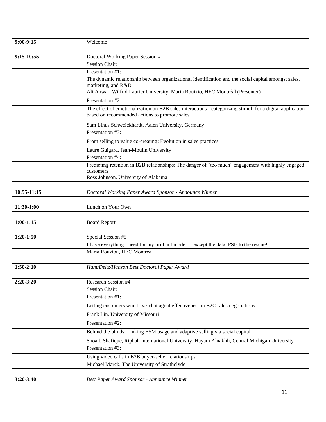| $9:00-9:15$   | Welcome                                                                                                                                                    |
|---------------|------------------------------------------------------------------------------------------------------------------------------------------------------------|
| 9:15-10:55    | Doctoral Working Paper Session #1                                                                                                                          |
|               | <b>Session Chair:</b>                                                                                                                                      |
|               | Presentation #1:                                                                                                                                           |
|               | The dynamic relationship between organizational identification and the social capital amongst sales,                                                       |
|               | marketing, and R&D                                                                                                                                         |
|               | Ali Anwar, Wilfrid Laurier University, Maria Rouizio, HEC Montréal (Presenter)                                                                             |
|               | Presentation #2:                                                                                                                                           |
|               | The effect of emotionalization on B2B sales interactions - categorizing stimuli for a digital application<br>based on recommended actions to promote sales |
|               | Sam Linus Schweickhardt, Aalen University, Germany                                                                                                         |
|               | Presentation #3:                                                                                                                                           |
|               | From selling to value co-creating: Evolution in sales practices                                                                                            |
|               | Laure Guigard, Jean-Moulin University                                                                                                                      |
|               | Presentation #4:                                                                                                                                           |
|               | Predicting retention in B2B relationships: The danger of "too much" engagement with highly engaged<br>customers                                            |
|               | Ross Johnson, University of Alabama                                                                                                                        |
|               |                                                                                                                                                            |
| 10:55-11:15   | Doctoral Working Paper Award Sponsor - Announce Winner                                                                                                     |
|               |                                                                                                                                                            |
| 11:30-1:00    | Lunch on Your Own                                                                                                                                          |
| $1:00 - 1:15$ | <b>Board Report</b>                                                                                                                                        |
|               |                                                                                                                                                            |
| $1:20-1:50$   | Special Session #5                                                                                                                                         |
|               | I have everything I need for my brilliant model except the data. PSE to the rescue!                                                                        |
|               | Maria Rouziou, HEC Montréal                                                                                                                                |
|               |                                                                                                                                                            |
| $1:50-2:10$   | Hunt/Deitz/Hanson Best Doctoral Paper Award                                                                                                                |
|               |                                                                                                                                                            |
| 2:20-3:20     | Research Session #4                                                                                                                                        |
|               | Session Chair:                                                                                                                                             |
|               | Presentation #1:                                                                                                                                           |
|               | Letting customers win: Live-chat agent effectiveness in B2C sales negotiations                                                                             |
|               | Frank Lin, University of Missouri                                                                                                                          |
|               | Presentation #2:                                                                                                                                           |
|               | Behind the blinds: Linking ESM usage and adaptive selling via social capital                                                                               |
|               | Shoaib Shafique, Riphah International University, Hayam Alnakhli, Central Michigan University                                                              |
|               | Presentation #3:                                                                                                                                           |
|               | Using video calls in B2B buyer-seller relationships                                                                                                        |
|               | Michael Marck, The University of Strathclyde                                                                                                               |
|               |                                                                                                                                                            |
| 3:20-3:40     | Best Paper Award Sponsor - Announce Winner                                                                                                                 |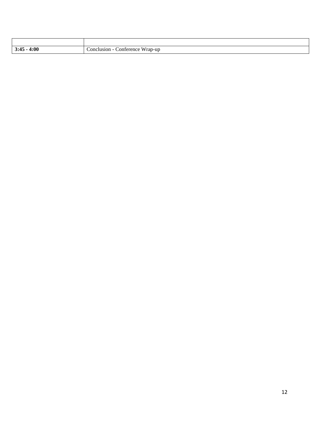| $\mathbf{r}$<br>4:00<br>$\ddotsc$ | :lusion-<br>Wrap-up<br>`าทเ<br>conference<br>- -<br>. |
|-----------------------------------|-------------------------------------------------------|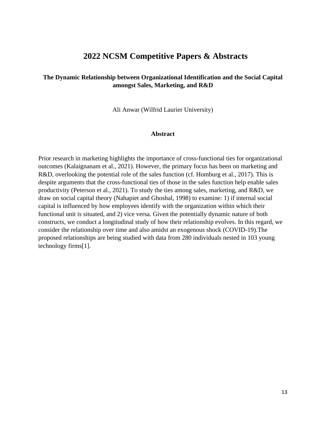# **2022 NCSM Competitive Papers & Abstracts**

## **The Dynamic Relationship between Organizational Identification and the Social Capital amongst Sales, Marketing, and R&D**

Ali Anwar (Wilfrid Laurier University)

#### **Abstract**

Prior research in marketing highlights the importance of cross-functional ties for organizational outcomes (Kalaignanam et al., 2021). However, the primary focus has been on marketing and R&D, overlooking the potential role of the sales function (cf. Homburg et al., 2017). This is despite arguments that the cross-functional ties of those in the sales function help enable sales productivity (Peterson et al., 2021). To study the ties among sales, marketing, and R&D, we draw on social capital theory (Nahapiet and Ghoshal, 1998) to examine: 1) if internal social capital is influenced by how employees identify with the organization within which their functional unit is situated, and 2) vice versa. Given the potentially dynamic nature of both constructs, we conduct a longitudinal study of how their relationship evolves. In this regard, we consider the relationship over time and also amidst an exogenous shock (COVID-19).The proposed relationships are being studied with data from 280 individuals nested in 103 young technology firms[1].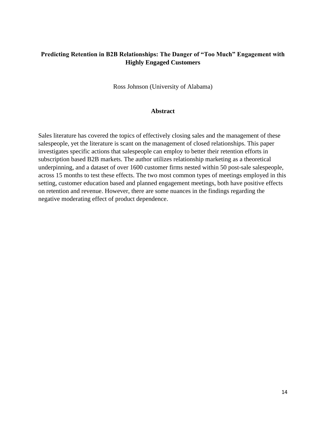## **Predicting Retention in B2B Relationships: The Danger of "Too Much" Engagement with Highly Engaged Customers**

Ross Johnson (University of Alabama)

#### **Abstract**

Sales literature has covered the topics of effectively closing sales and the management of these salespeople, yet the literature is scant on the management of closed relationships. This paper investigates specific actions that salespeople can employ to better their retention efforts in subscription based B2B markets. The author utilizes relationship marketing as a theoretical underpinning, and a dataset of over 1600 customer firms nested within 50 post-sale salespeople, across 15 months to test these effects. The two most common types of meetings employed in this setting, customer education based and planned engagement meetings, both have positive effects on retention and revenue. However, there are some nuances in the findings regarding the negative moderating effect of product dependence.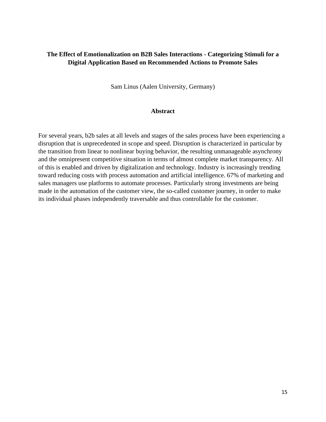## **The Effect of Emotionalization on B2B Sales Interactions - Categorizing Stimuli for a Digital Application Based on Recommended Actions to Promote Sales**

Sam Linus (Aalen University, Germany)

#### **Abstract**

For several years, b2b sales at all levels and stages of the sales process have been experiencing a disruption that is unprecedented in scope and speed. Disruption is characterized in particular by the transition from linear to nonlinear buying behavior, the resulting unmanageable asynchrony and the omnipresent competitive situation in terms of almost complete market transparency. All of this is enabled and driven by digitalization and technology. Industry is increasingly trending toward reducing costs with process automation and artificial intelligence. 67% of marketing and sales managers use platforms to automate processes. Particularly strong investments are being made in the automation of the customer view, the so-called customer journey, in order to make its individual phases independently traversable and thus controllable for the customer.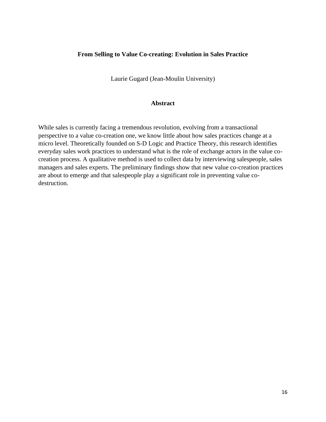## **From Selling to Value Co-creating: Evolution in Sales Practice**

Laurie Gugard (Jean-Moulin University)

## **Abstract**

While sales is currently facing a tremendous revolution, evolving from a transactional perspective to a value co-creation one, we know little about how sales practices change at a micro level. Theoretically founded on S-D Logic and Practice Theory, this research identifies everyday sales work practices to understand what is the role of exchange actors in the value cocreation process. A qualitative method is used to collect data by interviewing salespeople, sales managers and sales experts. The preliminary findings show that new value co-creation practices are about to emerge and that salespeople play a significant role in preventing value codestruction.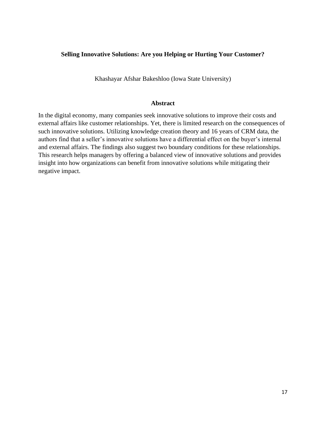## **Selling Innovative Solutions: Are you Helping or Hurting Your Customer?**

Khashayar Afshar Bakeshloo (Iowa State University)

## **Abstract**

In the digital economy, many companies seek innovative solutions to improve their costs and external affairs like customer relationships. Yet, there is limited research on the consequences of such innovative solutions. Utilizing knowledge creation theory and 16 years of CRM data, the authors find that a seller's innovative solutions have a differential effect on the buyer's internal and external affairs. The findings also suggest two boundary conditions for these relationships. This research helps managers by offering a balanced view of innovative solutions and provides insight into how organizations can benefit from innovative solutions while mitigating their negative impact.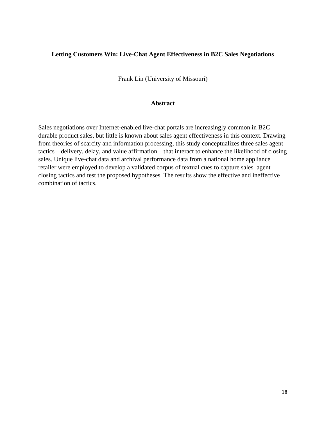## **Letting Customers Win: Live-Chat Agent Effectiveness in B2C Sales Negotiations**

Frank Lin (University of Missouri)

## **Abstract**

Sales negotiations over Internet-enabled live-chat portals are increasingly common in B2C durable product sales, but little is known about sales agent effectiveness in this context. Drawing from theories of scarcity and information processing, this study conceptualizes three sales agent tactics—delivery, delay, and value affirmation—that interact to enhance the likelihood of closing sales. Unique live-chat data and archival performance data from a national home appliance retailer were employed to develop a validated corpus of textual cues to capture sales–agent closing tactics and test the proposed hypotheses. The results show the effective and ineffective combination of tactics.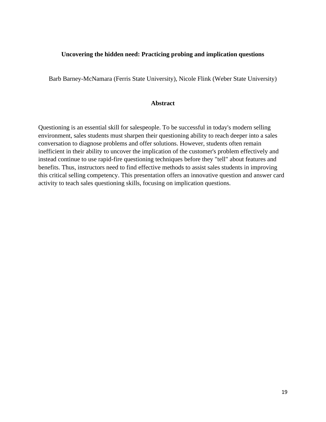## **Uncovering the hidden need: Practicing probing and implication questions**

Barb Barney-McNamara (Ferris State University), Nicole Flink (Weber State University)

## **Abstract**

Questioning is an essential skill for salespeople. To be successful in today's modern selling environment, sales students must sharpen their questioning ability to reach deeper into a sales conversation to diagnose problems and offer solutions. However, students often remain inefficient in their ability to uncover the implication of the customer's problem effectively and instead continue to use rapid-fire questioning techniques before they "tell" about features and benefits. Thus, instructors need to find effective methods to assist sales students in improving this critical selling competency. This presentation offers an innovative question and answer card activity to teach sales questioning skills, focusing on implication questions.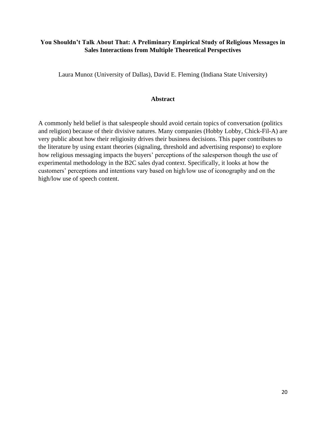## **You Shouldn't Talk About That: A Preliminary Empirical Study of Religious Messages in Sales Interactions from Multiple Theoretical Perspectives**

Laura Munoz (University of Dallas), David E. Fleming (Indiana State University)

## **Abstract**

A commonly held belief is that salespeople should avoid certain topics of conversation (politics and religion) because of their divisive natures. Many companies (Hobby Lobby, Chick-Fil-A) are very public about how their religiosity drives their business decisions. This paper contributes to the literature by using extant theories (signaling, threshold and advertising response) to explore how religious messaging impacts the buyers' perceptions of the salesperson though the use of experimental methodology in the B2C sales dyad context. Specifically, it looks at how the customers' perceptions and intentions vary based on high/low use of iconography and on the high/low use of speech content.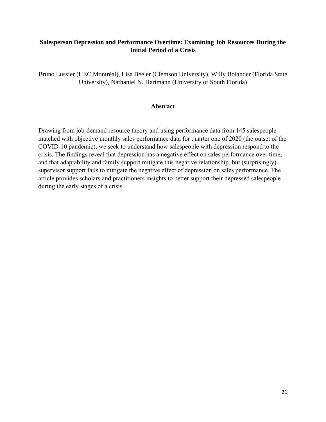## **Salesperson Depression and Performance Overtime: Examining Job Resources During the Initial Period of a Crisis**

Bruno Lussier (HEC Montréal), Lisa Beeler (Clemson University), Willy Bolander (Florida State University), Nathaniel N. Hartmann (University of South Florida)

## **Abstract**

Drawing from job-demand resource theory and using performance data from 145 salespeople matched with objective monthly sales performance data for quarter one of 2020 (the outset of the COVID-10 pandemic), we seek to understand how salespeople with depression respond to the crisis. The findings reveal that depression has a negative effect on sales performance over time, and that adaptability and family support mitigate this negative relationship, but (surprisingly) supervisor support fails to mitigate the negative effect of depression on sales performance. The article provides scholars and practitioners insights to better support their depressed salespeople during the early stages of a crisis.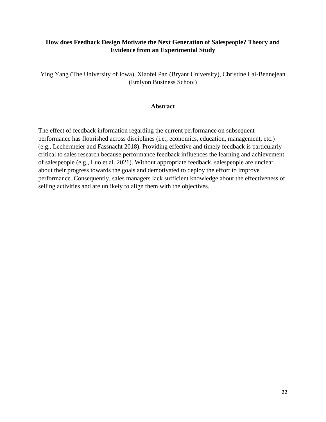## **How does Feedback Design Motivate the Next Generation of Salespeople? Theory and Evidence from an Experimental Study**

Ying Yang (The University of Iowa), Xiaofei Pan (Bryant University), Christine Lai-Bennejean (Emlyon Business School)

## **Abstract**

The effect of feedback information regarding the current performance on subsequent performance has flourished across disciplines (i.e., economics, education, management, etc.) (e.g., Lechermeier and Fassnacht 2018). Providing effective and timely feedback is particularly critical to sales research because performance feedback influences the learning and achievement of salespeople (e.g., Luo et al. 2021). Without appropriate feedback, salespeople are unclear about their progress towards the goals and demotivated to deploy the effort to improve performance. Consequently, sales managers lack sufficient knowledge about the effectiveness of selling activities and are unlikely to align them with the objectives.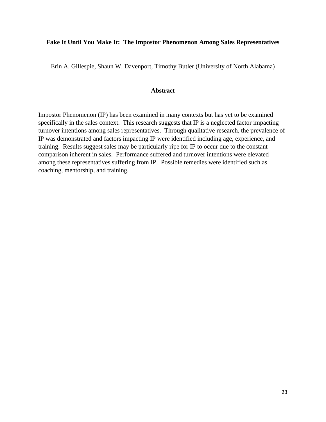## **Fake It Until You Make It: The Impostor Phenomenon Among Sales Representatives**

Erin A. Gillespie, Shaun W. Davenport, Timothy Butler (University of North Alabama)

#### **Abstract**

Impostor Phenomenon (IP) has been examined in many contexts but has yet to be examined specifically in the sales context. This research suggests that IP is a neglected factor impacting turnover intentions among sales representatives. Through qualitative research, the prevalence of IP was demonstrated and factors impacting IP were identified including age, experience, and training. Results suggest sales may be particularly ripe for IP to occur due to the constant comparison inherent in sales. Performance suffered and turnover intentions were elevated among these representatives suffering from IP. Possible remedies were identified such as coaching, mentorship, and training.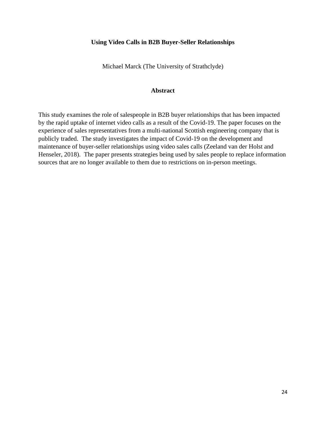## **Using Video Calls in B2B Buyer-Seller Relationships**

Michael Marck (The University of Strathclyde)

## **Abstract**

This study examines the role of salespeople in B2B buyer relationships that has been impacted by the rapid uptake of internet video calls as a result of the Covid-19. The paper focuses on the experience of sales representatives from a multi-national Scottish engineering company that is publicly traded. The study investigates the impact of Covid-19 on the development and maintenance of buyer-seller relationships using video sales calls (Zeeland van der Holst and Henseler, 2018). The paper presents strategies being used by sales people to replace information sources that are no longer available to them due to restrictions on in-person meetings.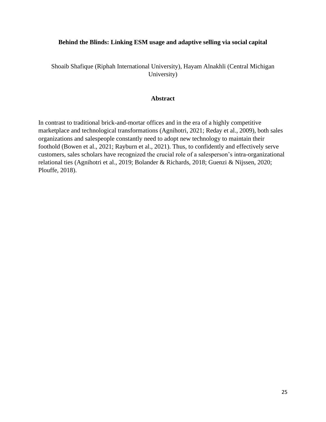## **Behind the Blinds: Linking ESM usage and adaptive selling via social capital**

Shoaib Shafique (Riphah International University), Hayam Alnakhli (Central Michigan University)

## **Abstract**

In contrast to traditional brick-and-mortar offices and in the era of a highly competitive marketplace and technological transformations (Agnihotri, 2021; Reday et al., 2009), both sales organizations and salespeople constantly need to adopt new technology to maintain their foothold (Bowen et al., 2021; Rayburn et al., 2021). Thus, to confidently and effectively serve customers, sales scholars have recognized the crucial role of a salesperson's intra-organizational relational ties (Agnihotri et al., 2019; Bolander & Richards, 2018; Guenzi & Nijssen, 2020; Plouffe, 2018).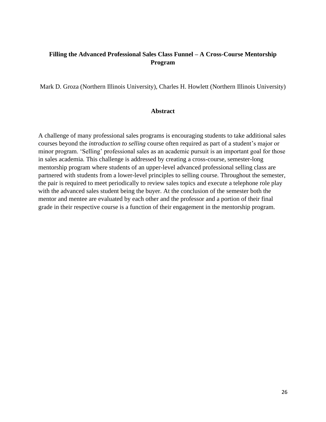## **Filling the Advanced Professional Sales Class Funnel – A Cross-Course Mentorship Program**

Mark D. Groza (Northern Illinois University), Charles H. Howlett (Northern Illinois University)

#### **Abstract**

A challenge of many professional sales programs is encouraging students to take additional sales courses beyond the *introduction to selling* course often required as part of a student's major or minor program. 'Selling' professional sales as an academic pursuit is an important goal for those in sales academia. This challenge is addressed by creating a cross-course, semester-long mentorship program where students of an upper-level advanced professional selling class are partnered with students from a lower-level principles to selling course. Throughout the semester, the pair is required to meet periodically to review sales topics and execute a telephone role play with the advanced sales student being the buyer. At the conclusion of the semester both the mentor and mentee are evaluated by each other and the professor and a portion of their final grade in their respective course is a function of their engagement in the mentorship program.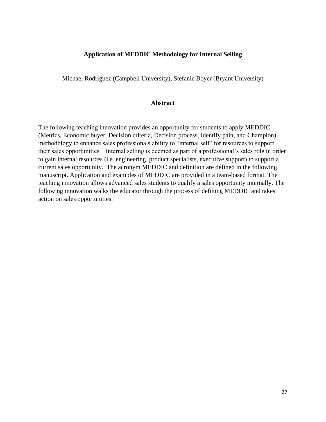#### **Application of MEDDIC Methodology for Internal Selling**

Michael Rodriguez (Campbell University), Stefanie Boyer (Bryant University)

#### **Abstract**

The following teaching innovation provides an opportunity for students to apply MEDDIC (Metrics, Economic buyer, Decision criteria, Decision process, Identify pain, and Champion) methodology to enhance sales professionals ability to "internal sell" for resources to support their sales opportunities. Internal selling is deemed as part of a professional's sales role in order to gain internal resources (i.e. engineering, product specialists, executive support) to support a current sales opportunity. The acronym MEDDIC and definition are defined in the following manuscript. Application and examples of MEDDIC are provided in a team-based format. The teaching innovation allows advanced sales students to qualify a sales opportunity internally. The following innovation walks the educator through the process of defining MEDDIC and takes action on sales opportunities.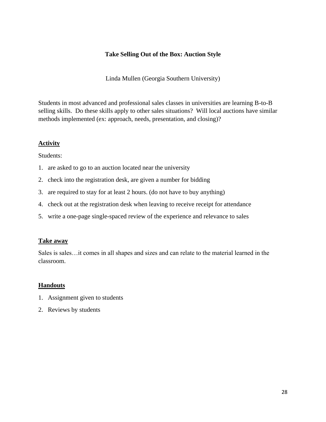## **Take Selling Out of the Box: Auction Style**

Linda Mullen (Georgia Southern University)

Students in most advanced and professional sales classes in universities are learning B-to-B selling skills. Do these skills apply to other sales situations? Will local auctions have similar methods implemented (ex: approach, needs, presentation, and closing)?

## **Activity**

Students:

- 1. are asked to go to an auction located near the university
- 2. check into the registration desk, are given a number for bidding
- 3. are required to stay for at least 2 hours. (do not have to buy anything)
- 4. check out at the registration desk when leaving to receive receipt for attendance
- 5. write a one-page single-spaced review of the experience and relevance to sales

#### **Take away**

Sales is sales…it comes in all shapes and sizes and can relate to the material learned in the classroom.

## **Handouts**

- 1. Assignment given to students
- 2. Reviews by students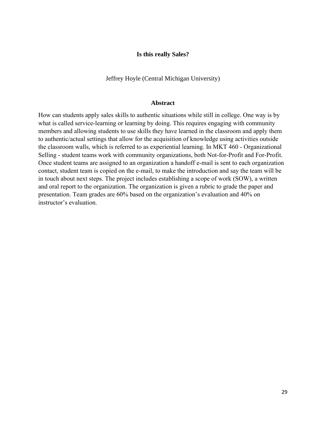#### **Is this really Sales?**

#### Jeffrey Hoyle (Central Michigan University)

#### **Abstract**

How can students apply sales skills to authentic situations while still in college. One way is by what is called service-learning or learning by doing. This requires engaging with community members and allowing students to use skills they have learned in the classroom and apply them to authentic/actual settings that allow for the acquisition of knowledge using activities outside the classroom walls, which is referred to as experiential learning. In MKT 460 - Organizational Selling - student teams work with community organizations, both Not-for-Profit and For-Profit. Once student teams are assigned to an organization a handoff e-mail is sent to each organization contact, student team is copied on the e-mail, to make the introduction and say the team will be in touch about next steps. The project includes establishing a scope of work (SOW), a written and oral report to the organization. The organization is given a rubric to grade the paper and presentation. Team grades are 60% based on the organization's evaluation and 40% on instructor's evaluation.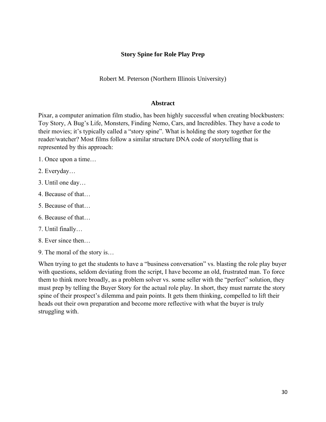## **Story Spine for Role Play Prep**

Robert M. Peterson (Northern Illinois University)

#### **Abstract**

Pixar, a computer animation film studio, has been highly successful when creating blockbusters: Toy Story, A Bug's Life, Monsters, Finding Nemo, Cars, and Incredibles. They have a code to their movies; it's typically called a "story spine". What is holding the story together for the reader/watcher? Most films follow a similar structure DNA code of storytelling that is represented by this approach:

- 1. Once upon a time…
- 2. Everyday…
- 3. Until one day…
- 4. Because of that…
- 5. Because of that…
- 6. Because of that…
- 7. Until finally…
- 8. Ever since then…
- 9. The moral of the story is…

When trying to get the students to have a "business conversation" vs. blasting the role play buyer with questions, seldom deviating from the script, I have become an old, frustrated man. To force them to think more broadly, as a problem solver vs. some seller with the "perfect" solution, they must prep by telling the Buyer Story for the actual role play. In short, they must narrate the story spine of their prospect's dilemma and pain points. It gets them thinking, compelled to lift their heads out their own preparation and become more reflective with what the buyer is truly struggling with.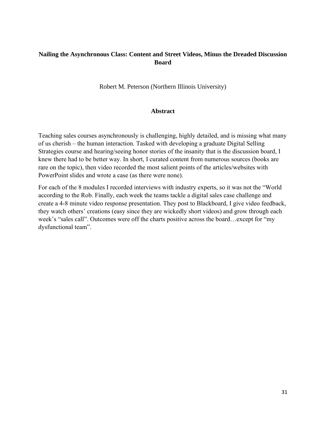## **Nailing the Asynchronous Class: Content and Street Videos, Minus the Dreaded Discussion Board**

Robert M. Peterson (Northern Illinois University)

## **Abstract**

Teaching sales courses asynchronously is challenging, highly detailed, and is missing what many of us cherish – the human interaction. Tasked with developing a graduate Digital Selling Strategies course and hearing/seeing honor stories of the insanity that is the discussion board, I knew there had to be better way. In short, I curated content from numerous sources (books are rare on the topic), then video recorded the most salient points of the articles/websites with PowerPoint slides and wrote a case (as there were none).

For each of the 8 modules I recorded interviews with industry experts, so it was not the "World according to the Rob. Finally, each week the teams tackle a digital sales case challenge and create a 4-8 minute video response presentation. They post to Blackboard, I give video feedback, they watch others' creations (easy since they are wickedly short videos) and grow through each week's "sales call". Outcomes were off the charts positive across the board…except for "my dysfunctional team".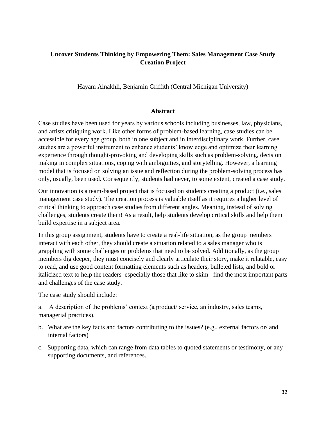## **Uncover Students Thinking by Empowering Them: Sales Management Case Study Creation Project**

Hayam Alnakhli, Benjamin Griffith (Central Michigan University)

## **Abstract**

Case studies have been used for years by various schools including businesses, law, physicians, and artists critiquing work. Like other forms of problem-based learning, case studies can be accessible for every age group, both in one subject and in interdisciplinary work. Further, case studies are a powerful instrument to enhance students' knowledge and optimize their learning experience through thought-provoking and developing skills such as problem-solving, decision making in complex situations, coping with ambiguities, and storytelling. However, a learning model that is focused on solving an issue and reflection during the problem-solving process has only, usually, been used. Consequently, students had never, to some extent, created a case study.

Our innovation is a team-based project that is focused on students creating a product (i.e., sales management case study). The creation process is valuable itself as it requires a higher level of critical thinking to approach case studies from different angles. Meaning, instead of solving challenges, students create them! As a result, help students develop critical skills and help them build expertise in a subject area.

In this group assignment, students have to create a real-life situation, as the group members interact with each other, they should create a situation related to a sales manager who is grappling with some challenges or problems that need to be solved. Additionally, as the group members dig deeper, they must concisely and clearly articulate their story, make it relatable, easy to read, and use good content formatting elements such as headers, bulleted lists, and bold or italicized text to help the readers–especially those that like to skim– find the most important parts and challenges of the case study.

The case study should include:

a. A description of the problems' context (a product/ service, an industry, sales teams, managerial practices).

- b. What are the key facts and factors contributing to the issues? (e.g., external factors or/ and internal factors)
- c. Supporting data, which can range from data tables to quoted statements or testimony, or any supporting documents, and references.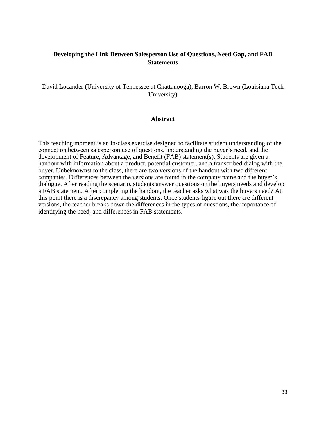## **Developing the Link Between Salesperson Use of Questions, Need Gap, and FAB Statements**

David Locander (University of Tennessee at Chattanooga), Barron W. Brown (Louisiana Tech University)

#### **Abstract**

This teaching moment is an in-class exercise designed to facilitate student understanding of the connection between salesperson use of questions, understanding the buyer's need, and the development of Feature, Advantage, and Benefit (FAB) statement(s). Students are given a handout with information about a product, potential customer, and a transcribed dialog with the buyer. Unbeknownst to the class, there are two versions of the handout with two different companies. Differences between the versions are found in the company name and the buyer's dialogue. After reading the scenario, students answer questions on the buyers needs and develop a FAB statement. After completing the handout, the teacher asks what was the buyers need? At this point there is a discrepancy among students. Once students figure out there are different versions, the teacher breaks down the differences in the types of questions, the importance of identifying the need, and differences in FAB statements.